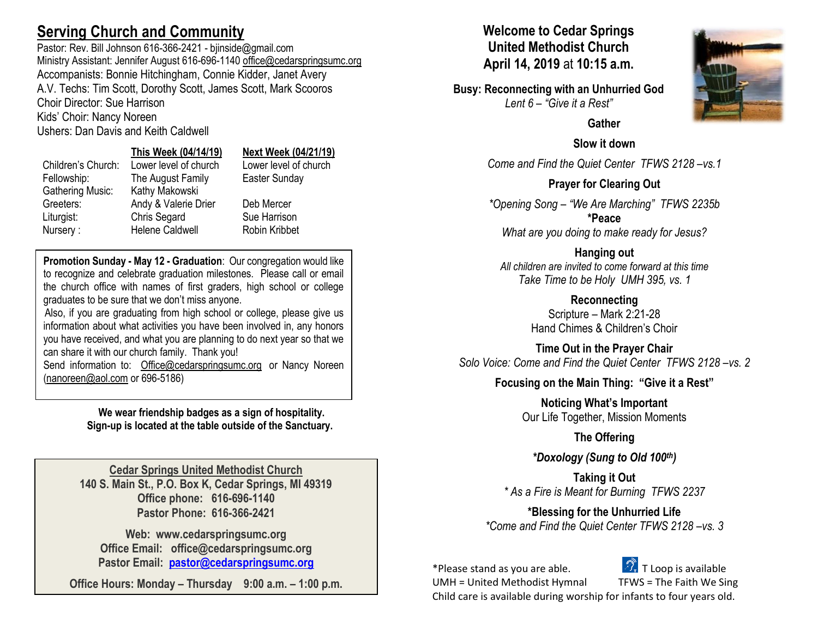# **Serving Church and Community**

Pastor: Rev. Bill Johnson 616-366-2421 - bjinside@gmail.com Ministry Assistant: Jennifer August 616-696-1140 [office@cedarspringsumc.org](mailto:office@cedarspringsumc.org) Accompanists: Bonnie Hitchingham, Connie Kidder, Janet Avery A.V. Techs: Tim Scott, Dorothy Scott, James Scott, Mark Scooros Choir Director: Sue Harrison Kids' Choir: Nancy Noreen

Ushers: Dan Davis and Keith Caldwell

### **This Week (04/14/19) Next Week (04/21/19)**

Children's Church: Lower level of church Lower level of church Fellowship: The August Family Easter Sunday Gathering Music: Kathy Makowski Greeters: Andy & Valerie Drier Deb Mercer Liturgist: Chris Segard Sue Harrison Nursery : Helene Caldwell Robin Kribbet

**Promotion Sunday - May 12 - Graduation**: Our congregation would like to recognize and celebrate graduation milestones. Please call or email the church office with names of first graders, high school or college graduates to be sure that we don't miss anyone.

Also, if you are graduating from high school or college, please give us information about what activities you have been involved in, any honors you have received, and what you are planning to do next year so that we can share it with our church family. Thank you!

Send information to: [Office@cedarspringsumc.org](mailto:Office@cedarspringsumc.org) or Nancy Noreen [\(nanoreen@aol.com](mailto:nanoreen@aol.com) or 696-5186)

> **We wear friendship badges as a sign of hospitality. Sign-up is located at the table outside of the Sanctuary.**

**Cedar Springs United Methodist Church 140 S. Main St., P.O. Box K, Cedar Springs, MI 49319 Office phone: 616-696-1140 Pastor Phone: 616-366-2421**

**Web: www.cedarspringsumc.org Office Email: office@cedarspringsumc.org Pastor Email: [pastor@cedarspringsumc.org](mailto:pastor@cedarspringsumc.org)**

**Office Hours: Monday – Thursday 9:00 a.m. – 1:00 p.m.**

### **Welcome to Cedar Springs United Methodist Church April 14, 2019** at **10:15 a.m.**

**Busy: Reconnecting with an Unhurried God** *Lent 6 – "Give it a Rest"*



### **Slow it down**

*Come and Find the Quiet Center TFWS 2128 –vs.1*

### **Prayer for Clearing Out**

*\*Opening Song – "We Are Marching" TFWS 2235b* **\*Peace**

*What are you doing to make ready for Jesus?*

**Hanging out**

*All children are invited to come forward at this time Take Time to be Holy UMH 395, vs. 1*

> **Reconnecting** Scripture – Mark 2:21-28 Hand Chimes & Children's Choir

**Time Out in the Prayer Chair** *Solo Voice: Come and Find the Quiet Center TFWS 2128 –vs. 2*

### **Focusing on the Main Thing: "Give it a Rest"**

**Noticing What's Important** Our Life Together, Mission Moments

**The Offering**

*\*Doxology (Sung to Old 100th)*

**Taking it Out** *\* As a Fire is Meant for Burning TFWS 2237*

**\*Blessing for the Unhurried Life** *\*Come and Find the Quiet Center TFWS 2128 –vs. 3*

\*Please stand as you are able.  $\mathscr{F}$  T Loop is available



UMH = United Methodist Hymnal TFWS = The Faith We Sing

Child care is available during worship for infants to four years old.